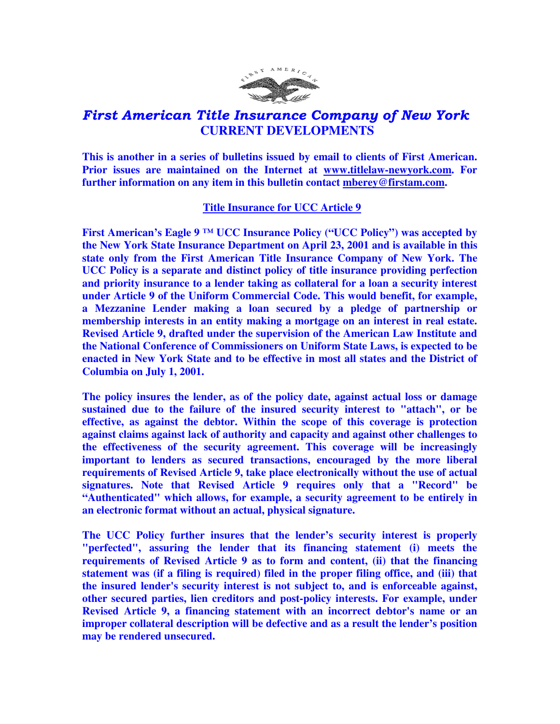

## First American Title Insurance Company of New York  **CURRENT DEVELOPMENTS**

**This is another in a series of bulletins issued by email to clients of First American. Prior issues are maintained on the Internet at www.titlelaw-newyork.com. For further information on any item in this bulletin contact mberey@firstam.com.** 

## **Title Insurance for UCC Article 9**

**First American's Eagle 9 ™ UCC Insurance Policy ("UCC Policy") was accepted by the New York State Insurance Department on April 23, 2001 and is available in this state only from the First American Title Insurance Company of New York. The UCC Policy is a separate and distinct policy of title insurance providing perfection and priority insurance to a lender taking as collateral for a loan a security interest under Article 9 of the Uniform Commercial Code. This would benefit, for example, a Mezzanine Lender making a loan secured by a pledge of partnership or membership interests in an entity making a mortgage on an interest in real estate. Revised Article 9, drafted under the supervision of the American Law Institute and the National Conference of Commissioners on Uniform State Laws, is expected to be enacted in New York State and to be effective in most all states and the District of Columbia on July 1, 2001.** 

**The policy insures the lender, as of the policy date, against actual loss or damage sustained due to the failure of the insured security interest to "attach", or be effective, as against the debtor. Within the scope of this coverage is protection against claims against lack of authority and capacity and against other challenges to the effectiveness of the security agreement. This coverage will be increasingly important to lenders as secured transactions, encouraged by the more liberal requirements of Revised Article 9, take place electronically without the use of actual signatures. Note that Revised Article 9 requires only that a "Record" be "Authenticated" which allows, for example, a security agreement to be entirely in an electronic format without an actual, physical signature.** 

**The UCC Policy further insures that the lender's security interest is properly "perfected", assuring the lender that its financing statement (i) meets the requirements of Revised Article 9 as to form and content, (ii) that the financing statement was (if a filing is required) filed in the proper filing office, and (iii) that the insured lender's security interest is not subject to, and is enforceable against, other secured parties, lien creditors and post-policy interests. For example, under Revised Article 9, a financing statement with an incorrect debtor's name or an improper collateral description will be defective and as a result the lender's position may be rendered unsecured.**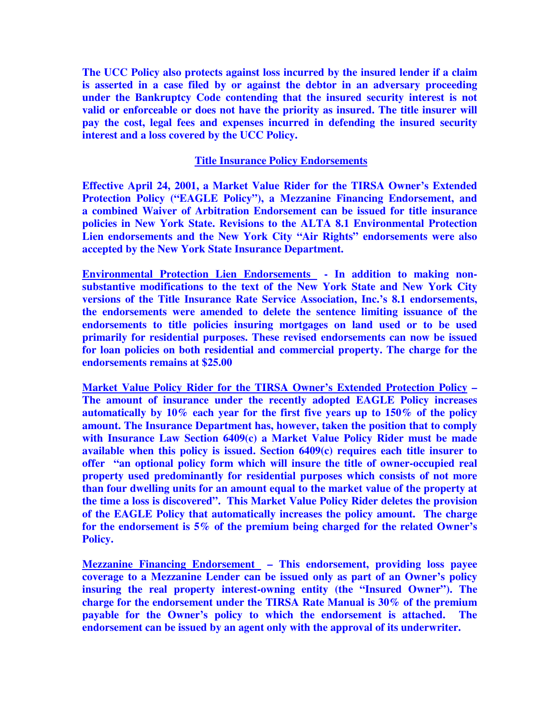**The UCC Policy also protects against loss incurred by the insured lender if a claim is asserted in a case filed by or against the debtor in an adversary proceeding under the Bankruptcy Code contending that the insured security interest is not valid or enforceable or does not have the priority as insured. The title insurer will pay the cost, legal fees and expenses incurred in defending the insured security interest and a loss covered by the UCC Policy.** 

## **Title Insurance Policy Endorsements**

**Effective April 24, 2001, a Market Value Rider for the TIRSA Owner's Extended Protection Policy ("EAGLE Policy"), a Mezzanine Financing Endorsement, and a combined Waiver of Arbitration Endorsement can be issued for title insurance policies in New York State. Revisions to the ALTA 8.1 Environmental Protection Lien endorsements and the New York City "Air Rights" endorsements were also accepted by the New York State Insurance Department.** 

**Environmental Protection Lien Endorsements - In addition to making nonsubstantive modifications to the text of the New York State and New York City versions of the Title Insurance Rate Service Association, Inc.'s 8.1 endorsements, the endorsements were amended to delete the sentence limiting issuance of the endorsements to title policies insuring mortgages on land used or to be used primarily for residential purposes. These revised endorsements can now be issued for loan policies on both residential and commercial property. The charge for the endorsements remains at \$25.00** 

**Market Value Policy Rider for the TIRSA Owner's Extended Protection Policy – The amount of insurance under the recently adopted EAGLE Policy increases automatically by 10% each year for the first five years up to 150% of the policy amount. The Insurance Department has, however, taken the position that to comply with Insurance Law Section 6409(c) a Market Value Policy Rider must be made available when this policy is issued. Section 6409(c) requires each title insurer to offer "an optional policy form which will insure the title of owner-occupied real property used predominantly for residential purposes which consists of not more than four dwelling units for an amount equal to the market value of the property at the time a loss is discovered". This Market Value Policy Rider deletes the provision of the EAGLE Policy that automatically increases the policy amount. The charge for the endorsement is 5% of the premium being charged for the related Owner's Policy.** 

**Mezzanine Financing Endorsement – This endorsement, providing loss payee coverage to a Mezzanine Lender can be issued only as part of an Owner's policy insuring the real property interest-owning entity (the "Insured Owner"). The charge for the endorsement under the TIRSA Rate Manual is 30% of the premium payable for the Owner's policy to which the endorsement is attached. The endorsement can be issued by an agent only with the approval of its underwriter.**